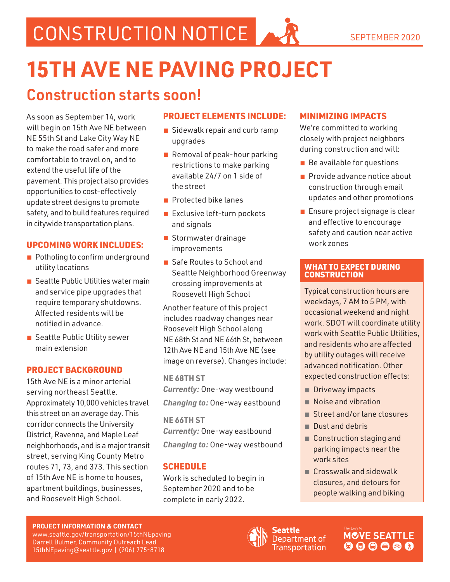CONSTRUCTION NOTICE AND SEPTEMBER 2020

# **15TH AVE NE PAVING PROJECT**

# Construction starts soon!

As soon as September 14, work will begin on 15th Ave NE between NE 55th St and Lake City Way NE to make the road safer and more comfortable to travel on, and to extend the useful life of the pavement. This project also provides opportunities to cost-effectively update street designs to promote safety, and to build features required in citywide transportation plans.

## UPCOMING WORK INCLUDES:

- Potholing to confirm underground utility locations
- Seattle Public Utilities water main and service pipe upgrades that require temporary shutdowns. Affected residents will be notified in advance.
- Seattle Public Utility sewer main extension

## PROJECT BACKGROUND

15th Ave NE is a minor arterial serving northeast Seattle. Approximately 10,000 vehicles travel this street on an average day. This corridor connects the University District, Ravenna, and Maple Leaf neighborhoods, and is a major transit street, serving King County Metro routes 71, 73, and 373. This section of 15th Ave NE is home to houses, apartment buildings, businesses, and Roosevelt High School.

# PROJECT ELEMENTS INCLUDE:

- Sidewalk repair and curb ramp upgrades
- Removal of peak-hour parking restrictions to make parking available 24/7 on 1 side of the street
- Protected bike lanes
- Exclusive left-turn pockets and signals
- Stormwater drainage improvements
- Safe Routes to School and Seattle Neighborhood Greenway crossing improvements at Roosevelt High School

Another feature of this project includes roadway changes near Roosevelt High School along NE 68th St and NE 66th St, between 12th Ave NE and 15th Ave NE (see image on reverse). Changes include:

**NE 68TH ST** *Currently:* One-way westbound *Changing to:* One-way eastbound

**NE 66TH ST** *Currently:* One-way eastbound *Changing to:* One-way westbound

# SCHEDULE

Work is scheduled to begin in September 2020 and to be complete in early 2022.

# MINIMIZING IMPACTS

We're committed to working closely with project neighbors during construction and will:

- Be available for questions
- Provide advance notice about construction through email updates and other promotions
- Ensure project signage is clear and effective to encourage safety and caution near active work zones

#### WHAT TO EXPECT DURING **CONSTRUCTION**

Typical construction hours are weekdays, 7 AM to 5 PM, with occasional weekend and night work. SDOT will coordinate utility work with Seattle Public Utilities, and residents who are affected by utility outages will receive advanced notification. Other expected construction effects:

- Driveway impacts
- Noise and vibration
- Street and/or lane closures
- Dust and debris
- Construction staging and parking impacts near the work sites
- Crosswalk and sidewalk closures, and detours for people walking and biking

#### **PROJECT INFORMATION & CONTACT**

www.seattle.gov/transportation/15thNEpaving Darrell Bulmer, Community Outreach Lead 15thNEpaving@seattle.gov | (206) 775-8718



Seattle Department of **Transportation**  **MCVE SEATTLE**  $\mathbf{O} \mathbf{O} \mathbf{O} \mathbf{O} \mathbf{O} \mathbf{O}$